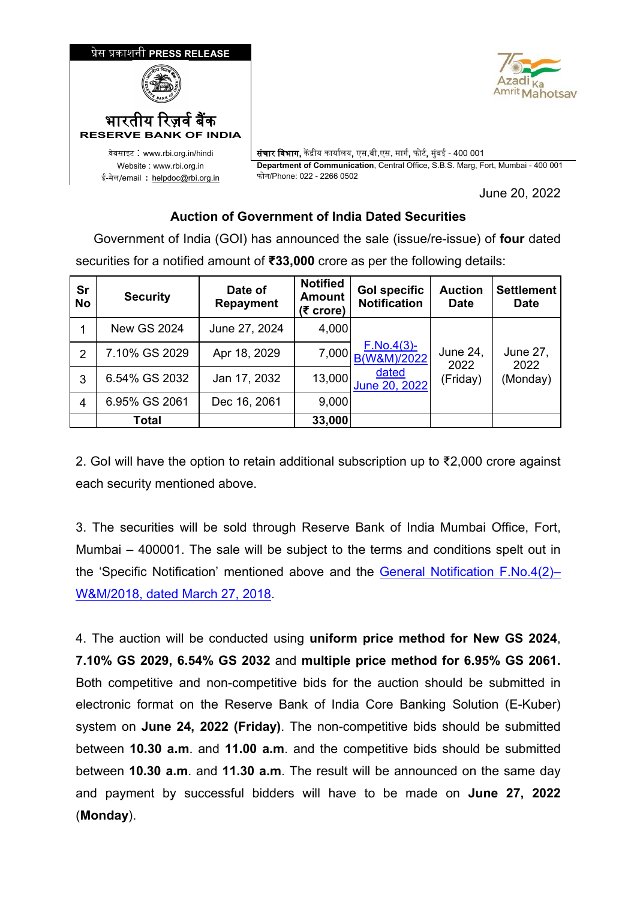

# **Auction of Government of India Dated Securities**

 Government of India (GOI) has announced the sale (issue/re-issue) of **four** dated securities for a notified amount of **₹33,000** crore as per the following details:

| Sr<br><b>No</b> | <b>Security</b>    | Date of<br><b>Repayment</b> | <b>Notified</b><br><b>Amount</b><br>(₹ crore) | <b>Gol specific</b><br><b>Notification</b> | <b>Auction</b><br><b>Date</b> | <b>Settlement</b><br><b>Date</b> |
|-----------------|--------------------|-----------------------------|-----------------------------------------------|--------------------------------------------|-------------------------------|----------------------------------|
|                 | <b>New GS 2024</b> | June 27, 2024               | 4,000                                         |                                            |                               |                                  |
| 2               | 7.10% GS 2029      | Apr 18, 2029                | 7,000                                         | <u>F.No.4(3)-</u><br>B(W&M)/2022           | June 24,<br>2022              | June 27,<br>2022                 |
| 3               | 6.54% GS 2032      | Jan 17, 2032                | 13,000                                        | dated<br>June 20, 2022                     | (Friday)                      | (Monday)                         |
| 4               | 6.95% GS 2061      | Dec 16, 2061                | 9,000                                         |                                            |                               |                                  |
|                 | Total              |                             | 33,000                                        |                                            |                               |                                  |

2. GoI will have the option to retain additional subscription up to ₹2,000 crore against each security mentioned above.

3. The securities will be sold through Reserve Bank of India Mumbai Office, Fort, Mumbai – 400001. The sale will be subject to the terms and conditions spelt out in the 'Specific Notification' mentioned above and the [General Notification F.No.4\(2\)–](https://www.rbi.org.in/Scripts/NotificationUser.aspx?Id=11249&Mode=0) [W&M/2018, dated March 27, 2018.](https://www.rbi.org.in/Scripts/NotificationUser.aspx?Id=11249&Mode=0)

4. The auction will be conducted using **uniform price method for New GS 2024**, **7.10% GS 2029, 6.54% GS 2032** and **multiple price method for 6.95% GS 2061.**  Both competitive and non-competitive bids for the auction should be submitted in electronic format on the Reserve Bank of India Core Banking Solution (E-Kuber) system on **June 24, 2022 (Friday)**. The non-competitive bids should be submitted between **10.30 a.m**. and **11.00 a.m**. and the competitive bids should be submitted between **10.30 a.m**. and **11.30 a.m**. The result will be announced on the same day and payment by successful bidders will have to be made on **June 27, 2022**  (**Monday**).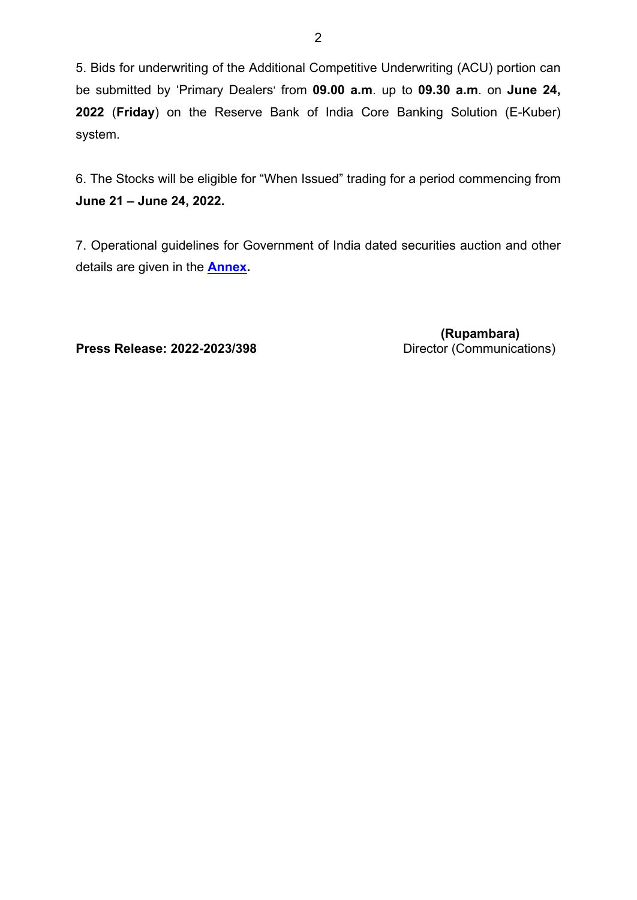5. Bids for underwriting of the Additional Competitive Underwriting (ACU) portion can be submitted by 'Primary Dealers' from **09.00 a.m**. up to **09.30 a.m**. on **June 24, 2022** (**Friday**) on the Reserve Bank of India Core Banking Solution (E-Kuber) system.

6. The Stocks will be eligible for "When Issued" trading for a period commencing from **June 21 – June 24, 2022.**

7. Operational guidelines for Government of India dated securities auction and other details are given in the **[Annex.](#page-2-0)**

**Press Release: 2022-2023/398** Director (Communications)

 **(Rupambara)**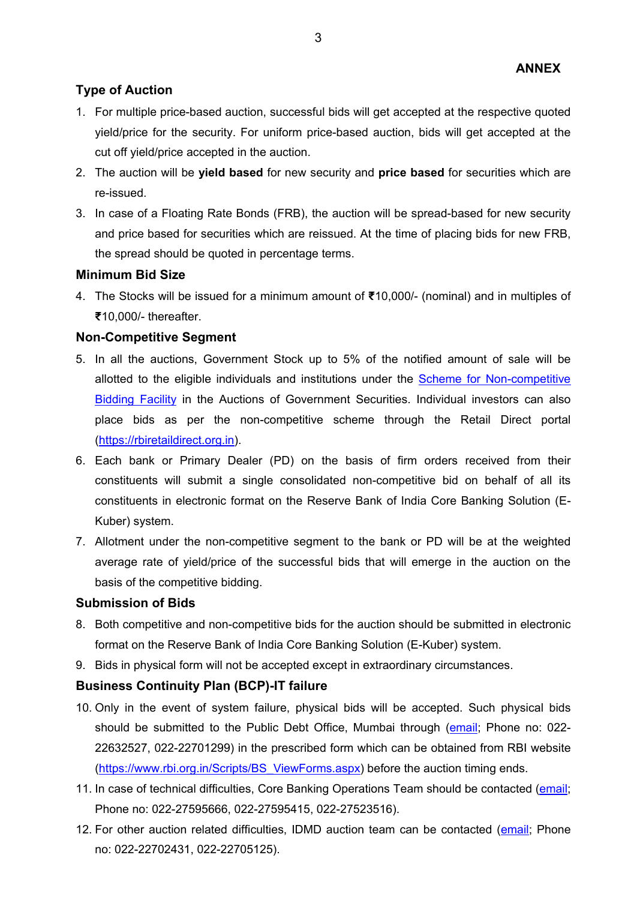## <span id="page-2-0"></span>**Type of Auction**

- 1. For multiple price-based auction, successful bids will get accepted at the respective quoted yield/price for the security. For uniform price-based auction, bids will get accepted at the cut off yield/price accepted in the auction.
- 2. The auction will be **yield based** for new security and **price based** for securities which are re-issued.
- 3. In case of a Floating Rate Bonds (FRB), the auction will be spread-based for new security and price based for securities which are reissued. At the time of placing bids for new FRB, the spread should be quoted in percentage terms.

#### **Minimum Bid Size**

4. The Stocks will be issued for a minimum amount of **₹**10,000/- (nominal) and in multiples of **₹**10,000/- thereafter.

#### **Non-Competitive Segment**

- 5. In all the auctions, Government Stock up to 5% of the notified amount of sale will be allotted to the eligible individuals and institutions under the [Scheme for Non-competitive](https://www.rbi.org.in/Scripts/NotificationUser.aspx?Id=12193&Mode=0)  [Bidding Facility](https://www.rbi.org.in/Scripts/NotificationUser.aspx?Id=12193&Mode=0) in the Auctions of Government Securities. Individual investors can also place bids as per the non-competitive scheme through the Retail Direct portal [\(https://rbiretaildirect.org.in\)](https://rbiretaildirect.org.in/).
- 6. Each bank or Primary Dealer (PD) on the basis of firm orders received from their constituents will submit a single consolidated non-competitive bid on behalf of all its constituents in electronic format on the Reserve Bank of India Core Banking Solution (E-Kuber) system.
- 7. Allotment under the non-competitive segment to the bank or PD will be at the weighted average rate of yield/price of the successful bids that will emerge in the auction on the basis of the competitive bidding.

#### **Submission of Bids**

- 8. Both competitive and non-competitive bids for the auction should be submitted in electronic format on the Reserve Bank of India Core Banking Solution (E-Kuber) system.
- 9. Bids in physical form will not be accepted except in extraordinary circumstances.

## **Business Continuity Plan (BCP)-IT failure**

- 10. Only in the event of system failure, physical bids will be accepted. Such physical bids should be submitted to the Public Debt Office, Mumbai through [\(email;](mailto:pdomumbai@rbi.org.in) Phone no: 022-22632527, 022-22701299) in the prescribed form which can be obtained from RBI website [\(https://www.rbi.org.in/Scripts/BS\\_ViewForms.aspx\)](https://www.rbi.org.in/Scripts/BS_ViewForms.aspx) before the auction timing ends.
- 11. In case of technical difficulties, Core Banking Operations Team should be contacted [\(email;](mailto:cbot@rbi.org.in) Phone no: 022-27595666, 022-27595415, 022-27523516).
- 12. For other auction related difficulties, IDMD auction team can be contacted [\(email;](mailto:auctionidmd@rbi.org.in) Phone no: 022-22702431, 022-22705125).